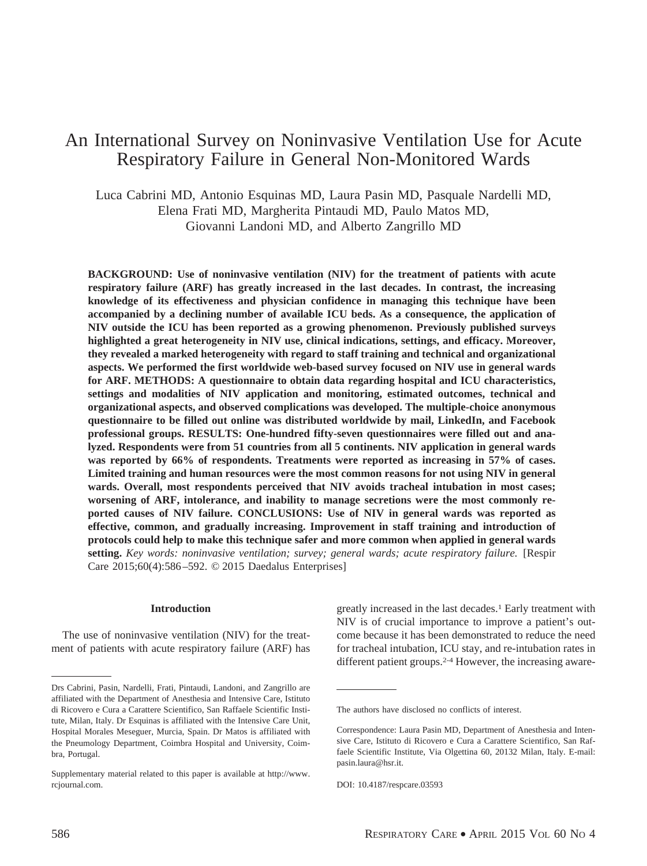# An International Survey on Noninvasive Ventilation Use for Acute Respiratory Failure in General Non-Monitored Wards

Luca Cabrini MD, Antonio Esquinas MD, Laura Pasin MD, Pasquale Nardelli MD, Elena Frati MD, Margherita Pintaudi MD, Paulo Matos MD, Giovanni Landoni MD, and Alberto Zangrillo MD

**BACKGROUND: Use of noninvasive ventilation (NIV) for the treatment of patients with acute respiratory failure (ARF) has greatly increased in the last decades. In contrast, the increasing knowledge of its effectiveness and physician confidence in managing this technique have been accompanied by a declining number of available ICU beds. As a consequence, the application of NIV outside the ICU has been reported as a growing phenomenon. Previously published surveys highlighted a great heterogeneity in NIV use, clinical indications, settings, and efficacy. Moreover, they revealed a marked heterogeneity with regard to staff training and technical and organizational aspects. We performed the first worldwide web-based survey focused on NIV use in general wards for ARF. METHODS: A questionnaire to obtain data regarding hospital and ICU characteristics, settings and modalities of NIV application and monitoring, estimated outcomes, technical and organizational aspects, and observed complications was developed. The multiple-choice anonymous questionnaire to be filled out online was distributed worldwide by mail, LinkedIn, and Facebook professional groups. RESULTS: One-hundred fifty-seven questionnaires were filled out and analyzed. Respondents were from 51 countries from all 5 continents. NIV application in general wards was reported by 66% of respondents. Treatments were reported as increasing in 57% of cases. Limited training and human resources were the most common reasons for not using NIV in general wards. Overall, most respondents perceived that NIV avoids tracheal intubation in most cases; worsening of ARF, intolerance, and inability to manage secretions were the most commonly reported causes of NIV failure. CONCLUSIONS: Use of NIV in general wards was reported as effective, common, and gradually increasing. Improvement in staff training and introduction of protocols could help to make this technique safer and more common when applied in general wards setting.** *Key words: noninvasive ventilation; survey; general wards; acute respiratory failure.* [Respir Care 2015;60(4):586 –592. © 2015 Daedalus Enterprises]

#### **Introduction**

The use of noninvasive ventilation (NIV) for the treatment of patients with acute respiratory failure (ARF) has greatly increased in the last decades.<sup>1</sup> Early treatment with NIV is of crucial importance to improve a patient's outcome because it has been demonstrated to reduce the need for tracheal intubation, ICU stay, and re-intubation rates in different patient groups.2-4 However, the increasing aware-

Drs Cabrini, Pasin, Nardelli, Frati, Pintaudi, Landoni, and Zangrillo are affiliated with the Department of Anesthesia and Intensive Care, Istituto di Ricovero e Cura a Carattere Scientifico, San Raffaele Scientific Institute, Milan, Italy. Dr Esquinas is affiliated with the Intensive Care Unit, Hospital Morales Meseguer, Murcia, Spain. Dr Matos is affiliated with the Pneumology Department, Coimbra Hospital and University, Coimbra, Portugal.

Supplementary material related to this paper is available at http://www. rcjournal.com.

The authors have disclosed no conflicts of interest.

Correspondence: Laura Pasin MD, Department of Anesthesia and Intensive Care, Istituto di Ricovero e Cura a Carattere Scientifico, San Raffaele Scientific Institute, Via Olgettina 60, 20132 Milan, Italy. E-mail: pasin.laura@hsr.it.

DOI: 10.4187/respcare.03593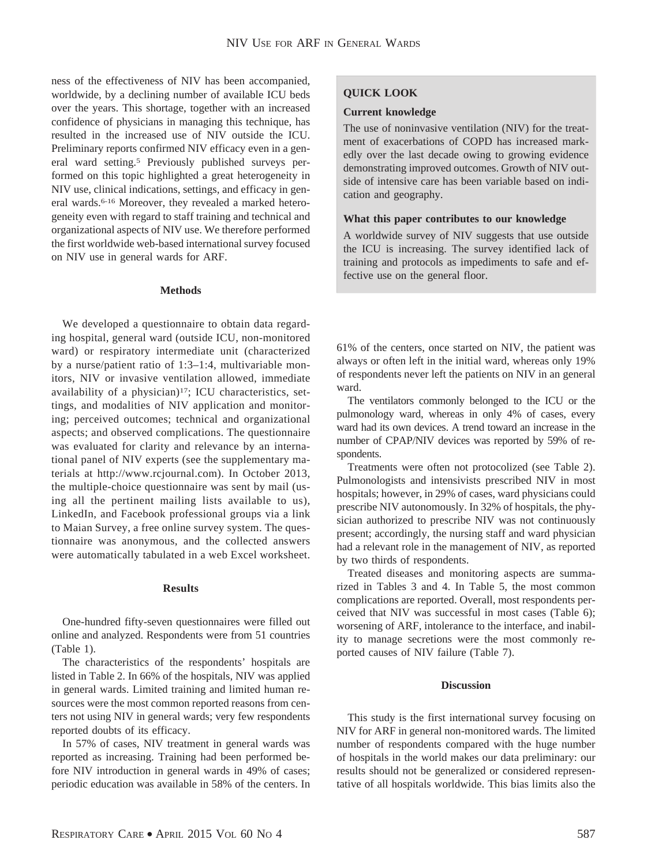ness of the effectiveness of NIV has been accompanied, worldwide, by a declining number of available ICU beds over the years. This shortage, together with an increased confidence of physicians in managing this technique, has resulted in the increased use of NIV outside the ICU. Preliminary reports confirmed NIV efficacy even in a general ward setting.5 Previously published surveys performed on this topic highlighted a great heterogeneity in NIV use, clinical indications, settings, and efficacy in general wards.6-16 Moreover, they revealed a marked heterogeneity even with regard to staff training and technical and organizational aspects of NIV use. We therefore performed the first worldwide web-based international survey focused on NIV use in general wards for ARF.

## **Methods**

We developed a questionnaire to obtain data regarding hospital, general ward (outside ICU, non-monitored ward) or respiratory intermediate unit (characterized by a nurse/patient ratio of 1:3–1:4, multivariable monitors, NIV or invasive ventilation allowed, immediate availability of a physician)<sup>17</sup>; ICU characteristics, settings, and modalities of NIV application and monitoring; perceived outcomes; technical and organizational aspects; and observed complications. The questionnaire was evaluated for clarity and relevance by an international panel of NIV experts (see the supplementary materials at http://www.rcjournal.com). In October 2013, the multiple-choice questionnaire was sent by mail (using all the pertinent mailing lists available to us), LinkedIn, and Facebook professional groups via a link to Maian Survey, a free online survey system. The questionnaire was anonymous, and the collected answers were automatically tabulated in a web Excel worksheet.

## **Results**

One-hundred fifty-seven questionnaires were filled out online and analyzed. Respondents were from 51 countries (Table 1).

The characteristics of the respondents' hospitals are listed in Table 2. In 66% of the hospitals, NIV was applied in general wards. Limited training and limited human resources were the most common reported reasons from centers not using NIV in general wards; very few respondents reported doubts of its efficacy.

In 57% of cases, NIV treatment in general wards was reported as increasing. Training had been performed before NIV introduction in general wards in 49% of cases; periodic education was available in 58% of the centers. In

# **QUICK LOOK**

#### **Current knowledge**

The use of noninvasive ventilation (NIV) for the treatment of exacerbations of COPD has increased markedly over the last decade owing to growing evidence demonstrating improved outcomes. Growth of NIV outside of intensive care has been variable based on indication and geography.

## **What this paper contributes to our knowledge**

A worldwide survey of NIV suggests that use outside the ICU is increasing. The survey identified lack of training and protocols as impediments to safe and effective use on the general floor.

61% of the centers, once started on NIV, the patient was always or often left in the initial ward, whereas only 19% of respondents never left the patients on NIV in an general ward.

The ventilators commonly belonged to the ICU or the pulmonology ward, whereas in only 4% of cases, every ward had its own devices. A trend toward an increase in the number of CPAP/NIV devices was reported by 59% of respondents.

Treatments were often not protocolized (see Table 2). Pulmonologists and intensivists prescribed NIV in most hospitals; however, in 29% of cases, ward physicians could prescribe NIV autonomously. In 32% of hospitals, the physician authorized to prescribe NIV was not continuously present; accordingly, the nursing staff and ward physician had a relevant role in the management of NIV, as reported by two thirds of respondents.

Treated diseases and monitoring aspects are summarized in Tables 3 and 4. In Table 5, the most common complications are reported. Overall, most respondents perceived that NIV was successful in most cases (Table 6); worsening of ARF, intolerance to the interface, and inability to manage secretions were the most commonly reported causes of NIV failure (Table 7).

### **Discussion**

This study is the first international survey focusing on NIV for ARF in general non-monitored wards. The limited number of respondents compared with the huge number of hospitals in the world makes our data preliminary: our results should not be generalized or considered representative of all hospitals worldwide. This bias limits also the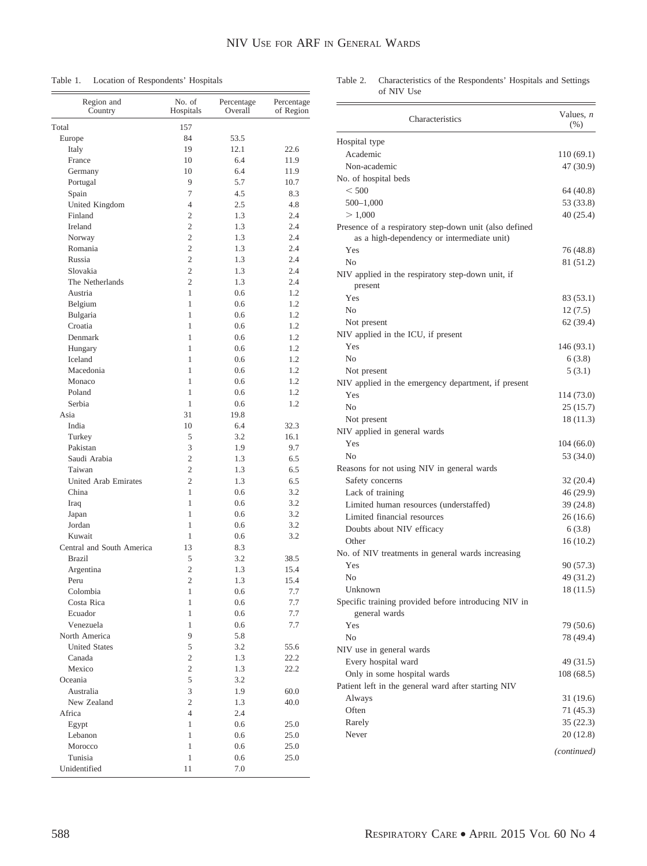| Region and<br>Country                 | No. of<br>Hospitals | Percentage<br>Overall | Percentage<br>of Region |
|---------------------------------------|---------------------|-----------------------|-------------------------|
| Total                                 | 157                 |                       |                         |
| Europe                                | 84                  | 53.5                  |                         |
| Italy                                 | 19                  | 12.1                  | 22.6                    |
| France                                | 10                  | 6.4                   | 11.9                    |
| Germany                               | 10                  | 64                    | 11.9                    |
| Portugal                              | 9                   | 5.7                   | 10.7                    |
| Spain                                 | 7                   | 4.5                   | 8.3                     |
| United Kingdom                        | $\overline{4}$      | 2.5                   | 4.8                     |
| Finland                               | $\overline{2}$      | 1.3                   | 2.4                     |
| Ireland                               | $\overline{c}$      | 1.3                   | 2.4                     |
| Norway                                | $\overline{c}$      | 1.3                   | 2.4                     |
| Romania                               | $\overline{2}$      | 1.3                   | 2.4                     |
| Russia                                | $\overline{c}$      | 1.3                   | 2.4                     |
| Slovakia                              | $\overline{c}$      | 1.3                   | 2.4                     |
| The Netherlands                       | $\overline{2}$      | 1.3                   | 2.4                     |
| Austria                               | 1                   | 0.6                   | 1.2                     |
| Belgium                               | 1                   | 0.6                   | 1.2                     |
| Bulgaria                              | 1                   | 0.6                   | 1.2                     |
| Croatia                               | 1                   | 0.6                   | 1.2                     |
| Denmark                               | 1                   | 0 <sub>6</sub>        | 1.2                     |
| Hungary<br>Iceland                    | 1<br>1              | 0.6<br>0.6            | 1.2<br>1.2              |
| Macedonia                             | 1                   | 0 <sub>6</sub>        | 1.2                     |
| Monaco                                | 1                   | 0.6                   | 1.2                     |
| Poland                                | 1                   | 0.6                   | 1.2                     |
| Serbia                                | 1                   | 0.6                   | 1.2                     |
| Asia                                  | 31                  | 19.8                  |                         |
| India                                 | 10                  | 6.4                   | 32.3                    |
| Turkey                                | 5                   | 3.2                   | 16.1                    |
| Pakistan                              | 3                   | 1.9                   | 9.7                     |
| Saudi Arabia                          | $\overline{c}$      | 1.3                   | 6.5                     |
| Taiwan                                | $\overline{c}$      | 1.3                   | 6.5                     |
| <b>United Arab Emirates</b>           | $\overline{2}$      | 1.3                   | 6.5                     |
| China                                 | 1                   | 0.6                   | 3.2                     |
| Iraq                                  | 1                   | 0.6                   | 3.2                     |
| Japan                                 | 1                   | 0.6                   | 3.2                     |
| Jordan                                | 1                   | 0.6                   | 3.2                     |
| Kuwait                                | 1                   | 0.6                   | 3.2                     |
| Central and South America             | 13                  | 8.3                   |                         |
| <b>Brazil</b>                         | 5                   | 3.2                   | 38.5                    |
| Argentina                             | $\overline{c}$      | 1.3                   | 15.4                    |
| Peru                                  | $\overline{c}$      | 1.3                   | 15.4                    |
| Colombia                              | 1                   | 0.6                   | 7.7                     |
| Costa Rica                            | 1                   | 0.6                   | 7.7                     |
| Ecuador                               | 1                   | 0.6                   | 7.7                     |
| Venezuela                             | 1                   | 0.6                   | 7.7                     |
| North America<br><b>United States</b> | 9<br>5              | 5.8                   |                         |
| Canada                                | 2                   | 3.2<br>1.3            | 55.6<br>22.2            |
| Mexico                                | $\overline{2}$      | 1.3                   | 22.2                    |
| Oceania                               | 5                   | 3.2                   |                         |
| Australia                             | 3                   | 1.9                   | 60.0                    |
| New Zealand                           | $\overline{c}$      | 1.3                   | 40.0                    |
| Africa                                | $\overline{4}$      | 2.4                   |                         |
| Egypt                                 | 1                   | 0.6                   | 25.0                    |
| Lebanon                               | 1                   | 0.6                   | 25.0                    |
| Morocco                               | 1                   | 0.6                   | 25.0                    |
| Tunisia                               | 1                   | 0.6                   | 25.0                    |
| Unidentified                          | 11                  | 7.0                   |                         |

#### Table 2. Characteristics of the Respondents' Hospitals and Settings of NIV Use

| Characteristics                                                                                      | Values, <i>n</i><br>(%) |
|------------------------------------------------------------------------------------------------------|-------------------------|
| Hospital type                                                                                        |                         |
| Academic                                                                                             | 110(69.1)               |
| Non-academic                                                                                         | 47 (30.9)               |
| No. of hospital beds                                                                                 |                         |
| < 500                                                                                                | 64 (40.8)               |
| 500-1,000                                                                                            | 53 (33.8)               |
| > 1,000                                                                                              | 40 (25.4)               |
| Presence of a respiratory step-down unit (also defined<br>as a high-dependency or intermediate unit) |                         |
| Yes                                                                                                  | 76 (48.8)               |
| No                                                                                                   | 81 (51.2)               |
| NIV applied in the respiratory step-down unit, if<br>present                                         |                         |
| Yes                                                                                                  | 83 (53.1)               |
| No                                                                                                   | 12(7.5)                 |
| Not present                                                                                          | 62 (39.4)               |
| NIV applied in the ICU, if present                                                                   |                         |
| Yes                                                                                                  | 146 (93.1)              |
| No                                                                                                   | 6(3.8)                  |
| Not present                                                                                          | 5(3.1)                  |
| NIV applied in the emergency department, if present<br>Yes                                           |                         |
| No                                                                                                   | 114 (73.0)<br>25 (15.7) |
| Not present                                                                                          | 18 (11.3)               |
| NIV applied in general wards                                                                         |                         |
| Yes                                                                                                  | 104(66.0)               |
| No                                                                                                   | 53 (34.0)               |
| Reasons for not using NIV in general wards                                                           |                         |
| Safety concerns                                                                                      | 32 (20.4)               |
| Lack of training                                                                                     | 46 (29.9)               |
| Limited human resources (understaffed)                                                               | 39 (24.8)               |
| Limited financial resources                                                                          | 26 (16.6)               |
| Doubts about NIV efficacy                                                                            | 6(3.8)                  |
| Other                                                                                                | 16 (10.2)               |
| No. of NIV treatments in general wards increasing                                                    |                         |
| Yes                                                                                                  | 90 (57.3)               |
| N <sub>0</sub>                                                                                       | 49 (31.2)               |
| Unknown                                                                                              | 18 (11.5)               |
| Specific training provided before introducing NIV in<br>general wards                                |                         |
| Yes                                                                                                  | 79 (50.6)               |
| No                                                                                                   | 78 (49.4)               |
| NIV use in general wards                                                                             |                         |
| Every hospital ward                                                                                  | 49 (31.5)               |
| Only in some hospital wards                                                                          | 108 (68.5)              |
| Patient left in the general ward after starting NIV                                                  |                         |
| Always                                                                                               | 31(19.6)                |
| Often                                                                                                | 71 (45.3)               |
| Rarely<br>Never                                                                                      | 35 (22.3)               |
|                                                                                                      | 20 (12.8)               |
|                                                                                                      | (continued)             |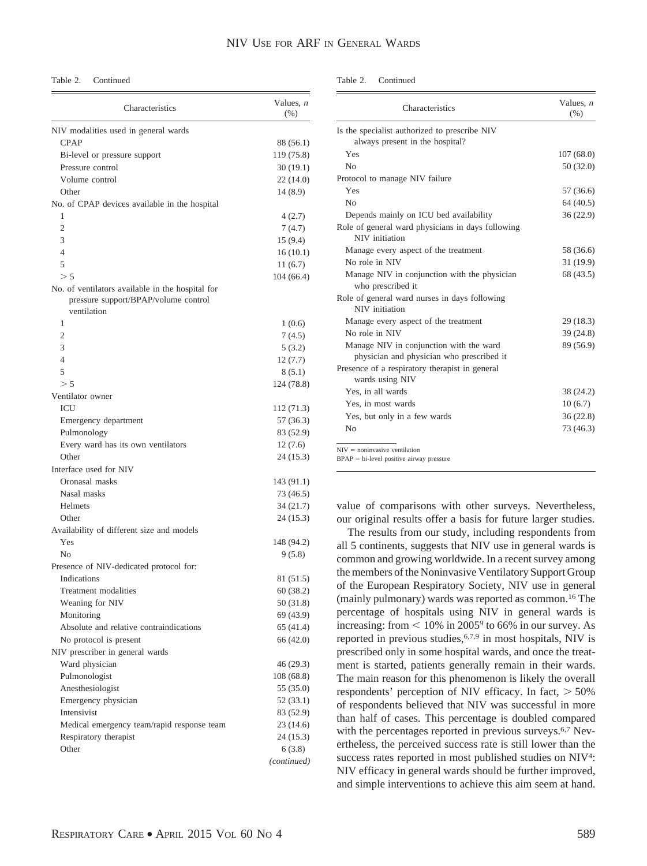# NIV USE FOR ARF IN GENERAL WARDS

#### Table 2. Continued

| Characteristics                                                                                         | Values, $n$<br>(%) |
|---------------------------------------------------------------------------------------------------------|--------------------|
| NIV modalities used in general wards                                                                    |                    |
| <b>CPAP</b>                                                                                             | 88 (56.1)          |
| Bi-level or pressure support                                                                            | 119 (75.8)         |
| Pressure control                                                                                        | 30 (19.1)          |
| Volume control                                                                                          | 22 (14.0)          |
| Other                                                                                                   | 14 (8.9)           |
| No. of CPAP devices available in the hospital                                                           |                    |
| 1                                                                                                       | 4(2.7)             |
| $\overline{2}$                                                                                          | 7(4.7)             |
| 3                                                                                                       | 15 (9.4)           |
| $\overline{4}$                                                                                          | 16 (10.1)          |
| 5                                                                                                       | 11 (6.7)           |
| > 5                                                                                                     | 104(66.4)          |
| No. of ventilators available in the hospital for<br>pressure support/BPAP/volume control<br>ventilation |                    |
| 1                                                                                                       | 1(0.6)             |
| $\overline{c}$                                                                                          | 7(4.5)             |
| 3                                                                                                       | 5(3.2)             |
| $\overline{4}$                                                                                          | 12(7.7)            |
| 5                                                                                                       | 8(5.1)             |
| > 5                                                                                                     | 124 (78.8)         |
| Ventilator owner                                                                                        |                    |
| ICU                                                                                                     | 112 (71.3)         |
| Emergency department                                                                                    | 57 (36.3)          |
| Pulmonology                                                                                             | 83 (52.9)          |
| Every ward has its own ventilators                                                                      | 12(7.6)            |
| Other                                                                                                   | 24 (15.3)          |
| Interface used for NIV                                                                                  |                    |
| Oronasal masks                                                                                          | 143 (91.1)         |
| Nasal masks                                                                                             | 73 (46.5)          |
| Helmets                                                                                                 | 34 (21.7)          |
| Other                                                                                                   | 24 (15.3)          |
| Availability of different size and models                                                               |                    |
| Yes                                                                                                     | 148 (94.2)         |
| N <sub>0</sub>                                                                                          | 9(5.8)             |
| Presence of NIV-dedicated protocol for:                                                                 |                    |
| Indications                                                                                             | 81 (51.5)          |
| Treatment modalities                                                                                    | 60(38.2)           |
| Weaning for NIV                                                                                         | 50(31.8)           |
| Monitoring                                                                                              | 69 (43.9)          |
| Absolute and relative contraindications                                                                 | 65 (41.4)          |
| No protocol is present                                                                                  | 66 (42.0)          |
| NIV prescriber in general wards                                                                         |                    |
| Ward physician                                                                                          | 46 (29.3)          |
| Pulmonologist                                                                                           | 108(68.8)          |
| Anesthesiologist                                                                                        | 55 (35.0)          |
| Emergency physician                                                                                     | 52(33.1)           |
| Intensivist                                                                                             | 83 (52.9)          |
| Medical emergency team/rapid response team                                                              | 23(14.6)           |
| Respiratory therapist                                                                                   | 24(15.3)           |
| Other                                                                                                   | 6(3.8)             |
|                                                                                                         | (continued)        |

Table 2. Continued

| Characteristics                                                                  | Values, $n$<br>(% ) |  |
|----------------------------------------------------------------------------------|---------------------|--|
| Is the specialist authorized to prescribe NIV<br>always present in the hospital? |                     |  |
| Yes                                                                              | 107(68.0)           |  |
| No                                                                               | 50(32.0)            |  |
| Protocol to manage NIV failure                                                   |                     |  |
| Yes                                                                              | 57 (36.6)           |  |
| No                                                                               | 64 (40.5)           |  |
| Depends mainly on ICU bed availability                                           | 36 (22.9)           |  |
| Role of general ward physicians in days following<br>NIV initiation              |                     |  |
| Manage every aspect of the treatment                                             | 58 (36.6)           |  |
| No role in NIV                                                                   | 31 (19.9)           |  |
| Manage NIV in conjunction with the physician<br>who prescribed it                | 68 (43.5)           |  |
| Role of general ward nurses in days following<br>NIV initiation                  |                     |  |
| Manage every aspect of the treatment                                             | 29 (18.3)           |  |
| No role in NIV                                                                   | 39 (24.8)           |  |
| Manage NIV in conjunction with the ward                                          | 89 (56.9)           |  |
| physician and physician who prescribed it                                        |                     |  |
| Presence of a respiratory therapist in general<br>wards using NIV                |                     |  |
| Yes, in all wards                                                                | 38 (24.2)           |  |
| Yes, in most wards                                                               | 10(6.7)             |  |
| Yes, but only in a few wards                                                     | 36(22.8)            |  |
| N <sub>0</sub>                                                                   | 73 (46.3)           |  |
| $NIV =$ noninvasive ventilation<br>$BPAP = bi-level positive airway pressure$    |                     |  |

value of comparisons with other surveys. Nevertheless, our original results offer a basis for future larger studies.

The results from our study, including respondents from all 5 continents, suggests that NIV use in general wards is common and growing worldwide. In a recent survey among the members of the Noninvasive Ventilatory Support Group of the European Respiratory Society, NIV use in general (mainly pulmonary) wards was reported as common.16 The percentage of hospitals using NIV in general wards is increasing: from  $\leq 10\%$  in 2005<sup>9</sup> to 66% in our survey. As reported in previous studies,<sup>6,7,9</sup> in most hospitals, NIV is prescribed only in some hospital wards, and once the treatment is started, patients generally remain in their wards. The main reason for this phenomenon is likely the overall respondents' perception of NIV efficacy. In fact,  $> 50\%$ of respondents believed that NIV was successful in more than half of cases. This percentage is doubled compared with the percentages reported in previous surveys.<sup>6,7</sup> Nevertheless, the perceived success rate is still lower than the success rates reported in most published studies on NIV4: NIV efficacy in general wards should be further improved, and simple interventions to achieve this aim seem at hand.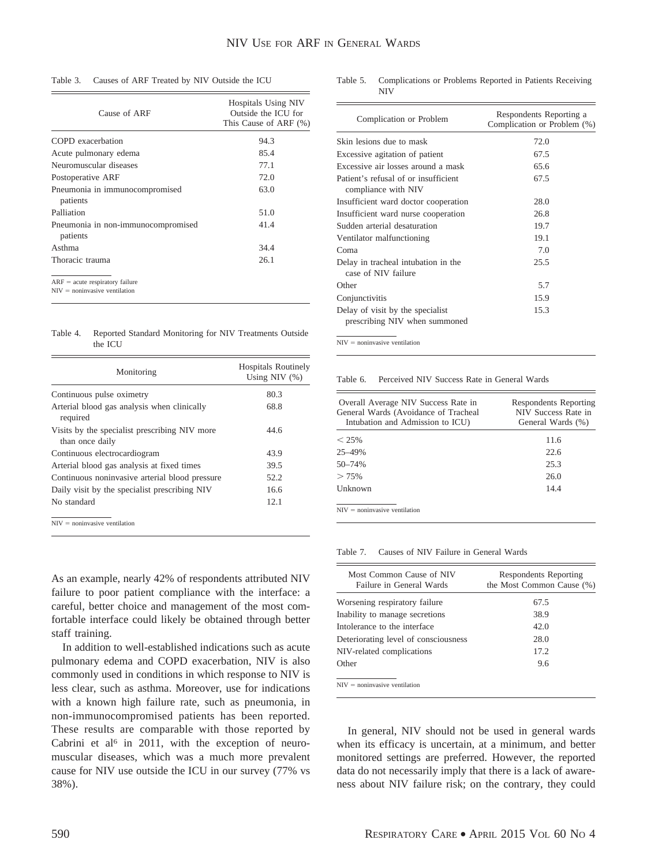|  | Table 3. Causes of ARF Treated by NIV Outside the ICU |  |  |  |  |  |  |  |
|--|-------------------------------------------------------|--|--|--|--|--|--|--|
|--|-------------------------------------------------------|--|--|--|--|--|--|--|

| Cause of ARF                                                         | Hospitals Using NIV<br>Outside the ICU for<br>This Cause of ARF (%) |
|----------------------------------------------------------------------|---------------------------------------------------------------------|
| COPD exacerbation                                                    | 94.3                                                                |
| Acute pulmonary edema                                                | 85.4                                                                |
| Neuromuscular diseases                                               | 77.1                                                                |
| Postoperative ARF                                                    | 72.0                                                                |
| Pneumonia in immunocompromised<br>patients                           | 63.0                                                                |
| Palliation                                                           | 51.0                                                                |
| Pneumonia in non-immunocompromised<br>patients                       | 41.4                                                                |
| Asthma                                                               | 34.4                                                                |
| Thoracic trauma                                                      | 26.1                                                                |
| $ARF = acute$ respiratory failure<br>$NIV = noninvasive ventilation$ |                                                                     |

Table 4. Reported Standard Monitoring for NIV Treatments Outside the ICU

| Monitoring                                                       | <b>Hospitals Routinely</b><br>Using NIV $(\% )$ |
|------------------------------------------------------------------|-------------------------------------------------|
| Continuous pulse oximetry                                        | 80.3                                            |
| Arterial blood gas analysis when clinically<br>required          | 68.8                                            |
| Visits by the specialist prescribing NIV more<br>than once daily | 44.6                                            |
| Continuous electrocardiogram                                     | 43.9                                            |
| Arterial blood gas analysis at fixed times                       | 39.5                                            |
| Continuous noninvasive arterial blood pressure                   | 52.2                                            |
| Daily visit by the specialist prescribing NIV                    | 16.6                                            |
| No standard                                                      | 12.1                                            |
| $NIV = noninvasive ventilation$                                  |                                                 |

As an example, nearly 42% of respondents attributed NIV failure to poor patient compliance with the interface: a careful, better choice and management of the most comfortable interface could likely be obtained through better staff training.

In addition to well-established indications such as acute pulmonary edema and COPD exacerbation, NIV is also commonly used in conditions in which response to NIV is less clear, such as asthma. Moreover, use for indications with a known high failure rate, such as pneumonia, in non-immunocompromised patients has been reported. These results are comparable with those reported by Cabrini et al<sup>6</sup> in 2011, with the exception of neuromuscular diseases, which was a much more prevalent cause for NIV use outside the ICU in our survey (77% vs 38%).

Table 5. Complications or Problems Reported in Patients Receiving NIV

| Complication or Problem                                           | Respondents Reporting a<br>Complication or Problem (%) |
|-------------------------------------------------------------------|--------------------------------------------------------|
| Skin lesions due to mask                                          | 72.0                                                   |
| Excessive agitation of patient                                    | 67.5                                                   |
| Excessive air losses around a mask                                | 65.6                                                   |
| Patient's refusal of or insufficient<br>compliance with NIV       | 67.5                                                   |
| Insufficient ward doctor cooperation                              | 28.0                                                   |
| Insufficient ward nurse cooperation                               | 26.8                                                   |
| Sudden arterial desaturation                                      | 19.7                                                   |
| Ventilator malfunctioning                                         | 19.1                                                   |
| Coma                                                              | 7.0                                                    |
| Delay in tracheal intubation in the<br>case of NIV failure        | 25.5                                                   |
| Other                                                             | 5.7                                                    |
| Conjunctivitis                                                    | 15.9                                                   |
| Delay of visit by the specialist<br>prescribing NIV when summoned | 15.3                                                   |

 $NIV =$  noninvasive ventilation

Table 6. Perceived NIV Success Rate in General Wards

| Overall Average NIV Success Rate in<br>General Wards (Avoidance of Tracheal<br>Intubation and Admission to ICU) | Respondents Reporting<br>NIV Success Rate in<br>General Wards (%) |  |  |
|-----------------------------------------------------------------------------------------------------------------|-------------------------------------------------------------------|--|--|
| $< 25\%$                                                                                                        | 11.6                                                              |  |  |
| 25-49%                                                                                                          | 22.6                                                              |  |  |
| $50 - 74%$                                                                                                      | 25.3                                                              |  |  |
| > 75%                                                                                                           | 26.0                                                              |  |  |
| Unknown                                                                                                         | 14.4                                                              |  |  |
| $NIV = noninvasive ventilation$                                                                                 |                                                                   |  |  |

Table 7. Causes of NIV Failure in General Wards

| Most Common Cause of NIV<br>Failure in General Wards | Respondents Reporting<br>the Most Common Cause (%) |
|------------------------------------------------------|----------------------------------------------------|
| Worsening respiratory failure                        | 67.5                                               |
| Inability to manage secretions                       | 38.9                                               |
| Intolerance to the interface                         | 42.0                                               |
| Deteriorating level of consciousness                 | 28.0                                               |
| NIV-related complications                            | 17.2                                               |
| Other                                                | 9.6                                                |
| $NIV = noninvasive ventilation$                      |                                                    |

In general, NIV should not be used in general wards when its efficacy is uncertain, at a minimum, and better monitored settings are preferred. However, the reported data do not necessarily imply that there is a lack of awareness about NIV failure risk; on the contrary, they could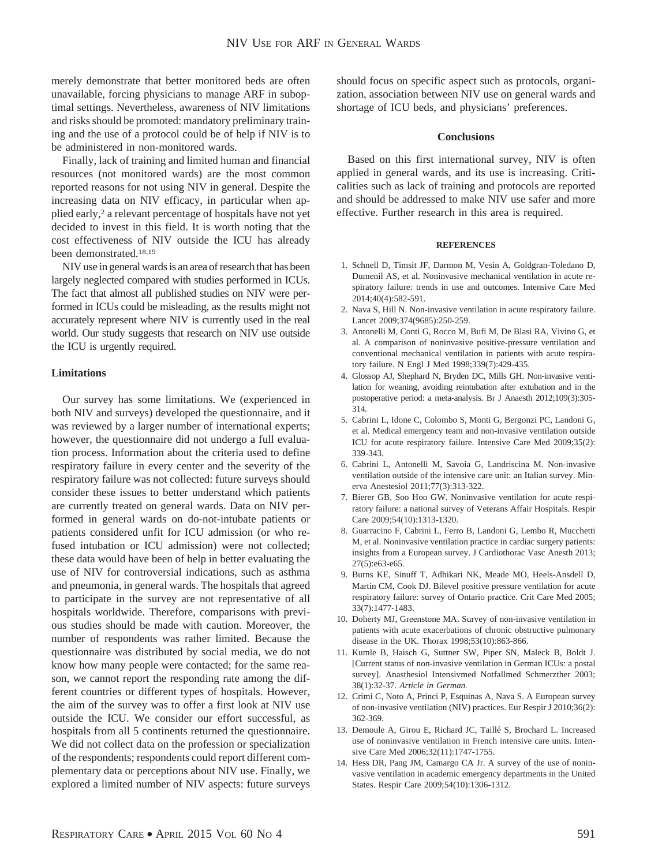merely demonstrate that better monitored beds are often unavailable, forcing physicians to manage ARF in suboptimal settings. Nevertheless, awareness of NIV limitations and risks should be promoted: mandatory preliminary training and the use of a protocol could be of help if NIV is to be administered in non-monitored wards.

Finally, lack of training and limited human and financial resources (not monitored wards) are the most common reported reasons for not using NIV in general. Despite the increasing data on NIV efficacy, in particular when applied early,2 a relevant percentage of hospitals have not yet decided to invest in this field. It is worth noting that the cost effectiveness of NIV outside the ICU has already been demonstrated.18,19

NIV use in general wards is an area of research that has been largely neglected compared with studies performed in ICUs. The fact that almost all published studies on NIV were performed in ICUs could be misleading, as the results might not accurately represent where NIV is currently used in the real world. Our study suggests that research on NIV use outside the ICU is urgently required.

# **Limitations**

Our survey has some limitations. We (experienced in both NIV and surveys) developed the questionnaire, and it was reviewed by a larger number of international experts; however, the questionnaire did not undergo a full evaluation process. Information about the criteria used to define respiratory failure in every center and the severity of the respiratory failure was not collected: future surveys should consider these issues to better understand which patients are currently treated on general wards. Data on NIV performed in general wards on do-not-intubate patients or patients considered unfit for ICU admission (or who refused intubation or ICU admission) were not collected; these data would have been of help in better evaluating the use of NIV for controversial indications, such as asthma and pneumonia, in general wards. The hospitals that agreed to participate in the survey are not representative of all hospitals worldwide. Therefore, comparisons with previous studies should be made with caution. Moreover, the number of respondents was rather limited. Because the questionnaire was distributed by social media, we do not know how many people were contacted; for the same reason, we cannot report the responding rate among the different countries or different types of hospitals. However, the aim of the survey was to offer a first look at NIV use outside the ICU. We consider our effort successful, as hospitals from all 5 continents returned the questionnaire. We did not collect data on the profession or specialization of the respondents; respondents could report different complementary data or perceptions about NIV use. Finally, we explored a limited number of NIV aspects: future surveys

should focus on specific aspect such as protocols, organization, association between NIV use on general wards and shortage of ICU beds, and physicians' preferences.

## **Conclusions**

Based on this first international survey, NIV is often applied in general wards, and its use is increasing. Criticalities such as lack of training and protocols are reported and should be addressed to make NIV use safer and more effective. Further research in this area is required.

#### **REFERENCES**

- 1. Schnell D, Timsit JF, Darmon M, Vesin A, Goldgran-Toledano D, Dumenil AS, et al. Noninvasive mechanical ventilation in acute respiratory failure: trends in use and outcomes. Intensive Care Med 2014;40(4):582-591.
- 2. Nava S, Hill N. Non-invasive ventilation in acute respiratory failure. Lancet 2009;374(9685):250-259.
- 3. Antonelli M, Conti G, Rocco M, Bufi M, De Blasi RA, Vivino G, et al. A comparison of noninvasive positive-pressure ventilation and conventional mechanical ventilation in patients with acute respiratory failure. N Engl J Med 1998;339(7):429-435.
- 4. Glossop AJ, Shephard N, Bryden DC, Mills GH. Non-invasive ventilation for weaning, avoiding reintubation after extubation and in the postoperative period: a meta-analysis. Br J Anaesth 2012;109(3):305- 314.
- 5. Cabrini L, Idone C, Colombo S, Monti G, Bergonzi PC, Landoni G, et al. Medical emergency team and non-invasive ventilation outside ICU for acute respiratory failure. Intensive Care Med 2009;35(2): 339-343.
- 6. Cabrini L, Antonelli M, Savoia G, Landriscina M. Non-invasive ventilation outside of the intensive care unit: an Italian survey. Minerva Anestesiol 2011;77(3):313-322.
- 7. Bierer GB, Soo Hoo GW. Noninvasive ventilation for acute respiratory failure: a national survey of Veterans Affair Hospitals. Respir Care 2009;54(10):1313-1320.
- 8. Guarracino F, Cabrini L, Ferro B, Landoni G, Lembo R, Mucchetti M, et al. Noninvasive ventilation practice in cardiac surgery patients: insights from a European survey. J Cardiothorac Vasc Anesth 2013; 27(5):e63-e65.
- 9. Burns KE, Sinuff T, Adhikari NK, Meade MO, Heels-Ansdell D, Martin CM, Cook DJ. Bilevel positive pressure ventilation for acute respiratory failure: survey of Ontario practice. Crit Care Med 2005; 33(7):1477-1483.
- 10. Doherty MJ, Greenstone MA. Survey of non-invasive ventilation in patients with acute exacerbations of chronic obstructive pulmonary disease in the UK. Thorax 1998;53(10):863-866.
- 11. Kumle B, Haisch G, Suttner SW, Piper SN, Maleck B, Boldt J. [Current status of non-invasive ventilation in German ICUs: a postal survey]. Anasthesiol Intensivmed Notfallmed Schmerzther 2003; 38(1):32-37. *Article in German.*
- 12. Crimi C, Noto A, Princi P, Esquinas A, Nava S. A European survey of non-invasive ventilation (NIV) practices. Eur Respir J 2010;36(2): 362-369.
- 13. Demoule A, Girou E, Richard JC, Taillé S, Brochard L. Increased use of noninvasive ventilation in French intensive care units. Intensive Care Med 2006;32(11):1747-1755.
- 14. Hess DR, Pang JM, Camargo CA Jr. A survey of the use of noninvasive ventilation in academic emergency departments in the United States. Respir Care 2009;54(10):1306-1312.